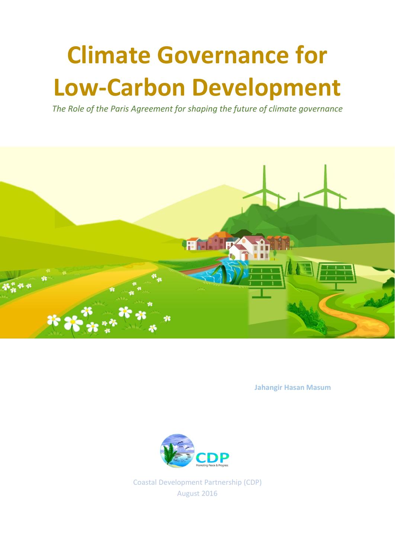# **Climate Governance for Low-Carbon Development**

*The Role of the Paris Agreement for shaping the future of climate governance* 



**Jahangir Hasan Masum**



Coastal Development Partnership (CDP) August 2016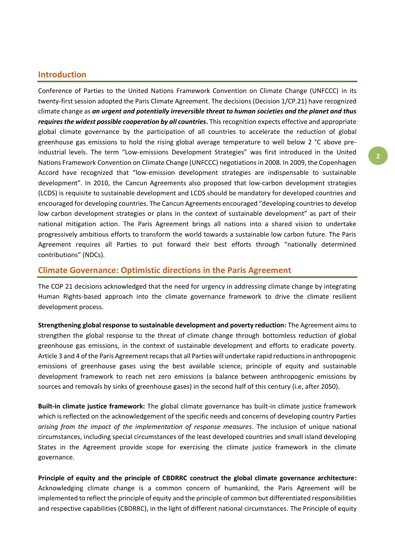## **Introduction**

Conference of Parties to the United Nations Framework Convention on Climate Change (UNFCCC) in its twenty-first session adopted the Paris Climate Agreement. The decisions (Decision 1/CP.21) have recognized climate change as *an urgent and potentially irreversible threat to human societies and the planet and thus requires the widest possible cooperation by all countries***.** This recognition expects effective and appropriate global climate governance by the participation of all countries to accelerate the reduction of global greenhouse gas emissions to hold the rising global average temperature to well below 2 °C above preindustrial levels. The term "Low-emissions Development Strategies" was first introduced in the United Nations Framework Convention on Climate Change (UNFCCC) negotiations in 2008. In 2009, the Copenhagen Accord have recognized that "low-emission development strategies are indispensable to sustainable development". In 2010, the Cancun Agreements also proposed that low-carbon development strategies (LCDS) is requisite to sustainable development and LCDS should be mandatory for developed countries and encouraged for developing countries. The Cancun Agreements encouraged "developing countries to develop low carbon development strategies or plans in the context of sustainable development" as part of their national mitigation action. The Paris Agreement brings all nations into a shared vision to undertake progressively ambitious efforts to transform the world towards a sustainable low carbon future. The Paris Agreement requires all Parties to put forward their best efforts through "nationally determined contributions" (NDCs).

## **Climate Governance: Optimistic directions in the Paris Agreement**

The COP 21 decisions acknowledged that the need for urgency in addressing climate change by integrating Human Rights-based approach into the climate governance framework to drive the climate resilient development process.

**Strengthening global response to sustainable development and poverty reduction:** The Agreement aims to strengthen the global response to the threat of climate change through bottomless reduction of global greenhouse gas emissions, in the context of sustainable development and efforts to eradicate poverty. Article 3 and 4 of the Paris Agreement recaps that all Parties will undertake rapid reductions in anthropogenic emissions of greenhouse gases using the best available science, principle of equity and sustainable development framework to reach net zero emissions (a balance between anthropogenic emissions by sources and removals by sinks of greenhouse gases) in the second half of this century (i.e, after 2050).

**Built-in climate justice framework:** The global climate governance has built-in climate justice framework which is reflected on the acknowledgement of the specific needs and concerns of developing country Parties *arising from the impact of the implementation of response measures*. The inclusion of unique national circumstances, including special circumstances of the least developed countries and small island developing States in the Agreement provide scope for exercising the climate justice framework in the climate governance.

**Principle of equity and the principle of CBDRRC construct the global climate governance architecture:** Acknowledging climate change is a common concern of humankind, the Paris Agreement will be implemented to reflect the principle of equity and the principle of common but differentiated responsibilities and respective capabilities (CBDRRC), in the light of different national circumstances. The Principle of equity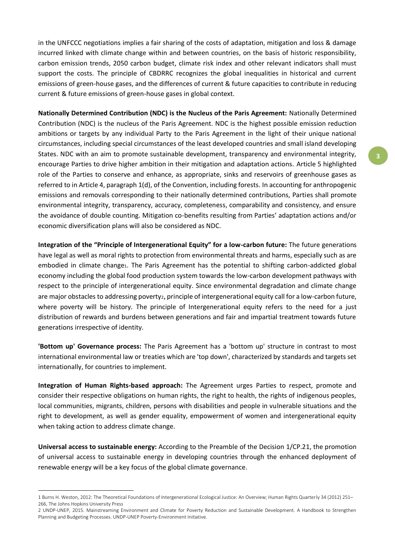in the UNFCCC negotiations implies a fair sharing of the costs of adaptation, mitigation and loss & damage incurred linked with climate change within and between countries, on the basis of historic responsibility, carbon emission trends, 2050 carbon budget, climate risk index and other relevant indicators shall must support the costs. The principle of CBDRRC recognizes the global inequalities in historical and current emissions of green-house gases, and the differences of current & future capacities to contribute in reducing current & future emissions of green-house gases in global context.

**Nationally Determined Contribution (NDC) is the Nucleus of the Paris Agreement:** Nationally Determined Contribution (NDC) is the nucleus of the Paris Agreement. NDC is the highest possible emission reduction ambitions or targets by any individual Party to the Paris Agreement in the light of their unique national circumstances, including special circumstances of the least developed countries and small island developing States. NDC with an aim to promote sustainable development, transparency and environmental integrity, encourage Parties to drive higher ambition in their mitigation and adaptation actions. Article 5 highlighted role of the Parties to conserve and enhance, as appropriate, sinks and reservoirs of greenhouse gases as referred to in Article 4, paragraph 1(d), of the Convention, including forests. In accounting for anthropogenic emissions and removals corresponding to their nationally determined contributions, Parties shall promote environmental integrity, transparency, accuracy, completeness, comparability and consistency, and ensure the avoidance of double counting. Mitigation co-benefits resulting from Parties' adaptation actions and/or economic diversification plans will also be considered as NDC.

**Integration of the "Principle of Intergenerational Equity" for a low-carbon future:** The future generations have legal as well as moral rights to protection from environmental threats and harms, especially such as are embodied in climate change1. The Paris Agreement has the potential to shifting carbon-addicted global economy including the global food production system towards the low-carbon development pathways with respect to the principle of intergenerational equity. Since environmental degradation and climate change are major obstacles to addressing povertyz, principle of intergenerational equity call for a low-carbon future, where poverty will be history. The principle of Intergenerational equity refers to the need for a just distribution of rewards and burdens between generations and fair and impartial treatment towards future generations irrespective of identity.

**'Bottom up' Governance process:** The Paris Agreement has a 'bottom up' structure in contrast to most international environmental law or treaties which are 'top down', characterized by standards and targets set internationally, for countries to implement.

**Integration of Human Rights-based approach:** The Agreement urges Parties to respect, promote and consider their respective obligations on human rights, the right to health, the rights of indigenous peoples, local communities, migrants, children, persons with disabilities and people in vulnerable situations and the right to development, as well as gender equality, empowerment of women and intergenerational equity when taking action to address climate change.

**Universal access to sustainable energy:** According to the Preamble of the Decision 1/CP.21, the promotion of universal access to sustainable energy in developing countries through the enhanced deployment of renewable energy will be a key focus of the global climate governance.

 $\overline{a}$ 

<sup>1</sup> Burns H. Weston, 2012: The Theoretical Foundations of Intergenerational Ecological Justice: An Overview; Human Rights Quarterly 34 (2012) 251– 266, The Johns Hopkins University Press

<sup>2</sup> UNDP-UNEP, 2015. Mainstreaming Environment and Climate for Poverty Reduction and Sustainable Development. A Handbook to Strengthen Planning and Budgeting Processes. UNDP-UNEP Poverty-Environment Initiative.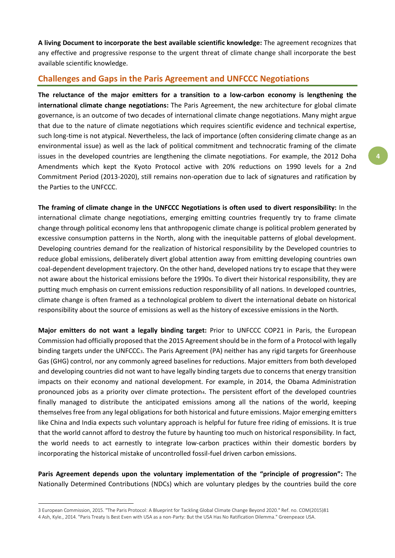**A living Document to incorporate the best available scientific knowledge:** The agreement recognizes that any effective and progressive response to the urgent threat of climate change shall incorporate the best available scientific knowledge.

# **Challenges and Gaps in the Paris Agreement and UNFCCC Negotiations**

**The reluctance of the major emitters for a transition to a low-carbon economy is lengthening the international climate change negotiations:** The Paris Agreement, the new architecture for global climate governance, is an outcome of two decades of international climate change negotiations. Many might argue that due to the nature of climate negotiations which requires scientific evidence and technical expertise, such long-time is not atypical. Nevertheless, the lack of importance (often considering climate change as an environmental issue) as well as the lack of political commitment and technocratic framing of the climate issues in the developed countries are lengthening the climate negotiations. For example, the 2012 Doha Amendments which kept the Kyoto Protocol active with 20% reductions on 1990 levels for a 2nd Commitment Period (2013-2020), still remains non-operation due to lack of signatures and ratification by the Parties to the UNFCCC.

**The framing of climate change in the UNFCCC Negotiations is often used to divert responsibility:** In the international climate change negotiations, emerging emitting countries frequently try to frame climate change through political economy lens that anthropogenic climate change is political problem generated by excessive consumption patterns in the North, along with the inequitable patterns of global development. Developing countries demand for the realization of historical responsibility by the Developed countries to reduce global emissions, deliberately divert global attention away from emitting developing countries own coal-dependent development trajectory. On the other hand, developed nations try to escape that they were not aware about the historical emissions before the 1990s. To divert their historical responsibility, they are putting much emphasis on current emissions reduction responsibility of all nations. In developed countries, climate change is often framed as a technological problem to divert the international debate on historical responsibility about the source of emissions as well as the history of excessive emissions in the North.

**Major emitters do not want a legally binding target:** Prior to UNFCCC COP21 in Paris, the European Commission had officially proposed that the 2015 Agreement should be in the form of a Protocol with legally binding targets under the UNFCCC3. The Paris Agreement (PA) neither has any rigid targets for Greenhouse Gas (GHG) control, nor any commonly agreed baselines for reductions. Major emitters from both developed and developing countries did not want to have legally binding targets due to concerns that energy transition impacts on their economy and national development. For example, in 2014, the Obama Administration pronounced jobs as a priority over climate protection4. The persistent effort of the developed countries finally managed to distribute the anticipated emissions among all the nations of the world, keeping themselves free from any legal obligations for both historical and future emissions. Major emerging emitters like China and India expects such voluntary approach is helpful for future free riding of emissions. It is true that the world cannot afford to destroy the future by haunting too much on historical responsibility. In fact, the world needs to act earnestly to integrate low-carbon practices within their domestic borders by incorporating the historical mistake of uncontrolled fossil-fuel driven carbon emissions.

**Paris Agreement depends upon the voluntary implementation of the "principle of progression":** The Nationally Determined Contributions (NDCs) which are voluntary pledges by the countries build the core

1

<sup>3</sup> European Commission, 2015. "The Paris Protocol: A Blueprint for Tackling Global Climate Change Beyond 2020." Ref. no. COM(2015)81 4 Ash, Kyle., 2014. "Paris Treaty Is Best Even with USA as a non-Party: But the USA Has No Ratification Dilemma." Greenpeace USA.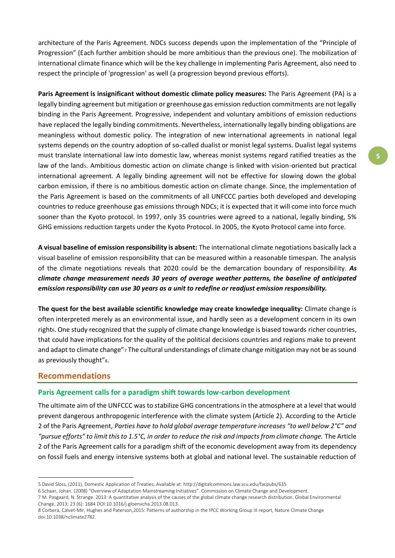architecture of the Paris Agreement. NDCs success depends upon the implementation of the "Principle of Progression" (Each further ambition should be more ambitious than the previous one). The mobilization of international climate finance which will be the key challenge in implementing Paris Agreement, also need to respect the principle of 'progression' as well (a progression beyond previous efforts).

**Paris Agreement is insignificant without domestic climate policy measures:** The Paris Agreement (PA) is a legally binding agreement but mitigation or greenhouse gas emission reduction commitments are not legally binding in the Paris Agreement. Progressive, independent and voluntary ambitions of emission reductions have replaced the legally binding commitments. Nevertheless, internationally legally binding obligations are meaningless without domestic policy. The integration of new international agreements in national legal systems depends on the country adoption of so-called dualist or monist legal systems. Dualist legal systems must translate international law into domestic law, whereas monist systems regard ratified treaties as the law of the lands. Ambitious domestic action on climate change is linked with vision-oriented but practical international agreement. A legally binding agreement will not be effective for slowing down the global carbon emission, if there is no ambitious domestic action on climate change. Since, the implementation of the Paris Agreement is based on the commitments of all UNFCCC parties both developed and developing countries to reduce greenhouse gas emissions through NDCs; it is expected that it will come into force much sooner than the Kyoto protocol. In 1997, only 35 countries were agreed to a national, legally binding, 5% GHG emissions reduction targets under the Kyoto Protocol. In 2005, the Kyoto Protocol came into force.

**A visual baseline of emission responsibility is absent:** The international climate negotiations basically lack a visual baseline of emission responsibility that can be measured within a reasonable timespan. The analysis of the climate negotiations reveals that 2020 could be the demarcation boundary of responsibility. *As climate change measurement needs 30 years of average weather patterns, the baseline of anticipated emission responsibility can use 30 years as a unit to redefine or readjust emission responsibility.*

**The quest for the best available scientific knowledge may create knowledge inequality:** Climate change is often interpreted merely as an environmental issue, and hardly seen as a development concern in its own right6. One study recognized that the supply of climate change knowledge is biased towards richer countries, that could have implications for the quality of the political decisions countries and regions make to prevent and adapt to climate change"<sub>7</sub> The cultural understandings of climate change mitigation may not be as sound as previously thought"s.

## **Recommendations**

 $\overline{a}$ 

## **Paris Agreement calls for a paradigm shift towards low-carbon development**

The ultimate aim of the UNFCCC was to stabilize GHG concentrations in the atmosphere at a level that would prevent dangerous anthropogenic interference with the climate system (Article 2). According to the Article 2 of the Paris Agreement, *Parties have to hold global average temperature increases "to well below 2°C" and "pursue efforts" to limit this to 1.5°C, in order to reduce the risk and impacts from climate change.* The Article 2 of the Paris Agreement calls for a paradigm shift of the economic development away from its dependency on fossil fuels and energy intensive systems both at global and national level. The sustainable reduction of

<sup>5</sup> David Sloss, (2011), Domestic Application of Treaties, Available at: http://digitalcommons.law.scu.edu/facpubs/635

<sup>6</sup> Schaar, Johan. (2008) "Overview of Adaptation Mainstreaming Initiatives". Commission on Climate Change and Development.

<sup>7</sup> M. Pasgaard, N. Strange. 2013: A quantitative analysis of the causes of the global climate change research distribution. Global Environmental Change, 2013; 23 (6): 1684 DOI:10.1016/j.gloenvcha.2013.08.013.

<sup>8</sup> Corbera, Calvet-Mir, Hughes and Paterson,2015: Patterns of authorship in the IPCC Working Group III report, Nature Climate Change doi:10.1038/nclimate2782.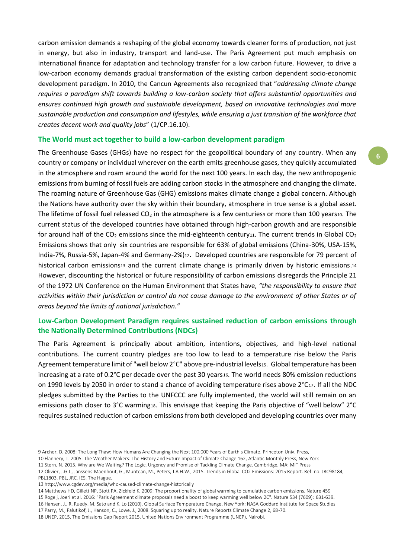carbon emission demands a reshaping of the global economy towards cleaner forms of production, not just in energy, but also in industry, transport and land-use. The Paris Agreement put much emphasis on international finance for adaptation and technology transfer for a low carbon future. However, to drive a low-carbon economy demands gradual transformation of the existing carbon dependent socio-economic development paradigm. In 2010, the Cancun Agreements also recognized that "*addressing climate change requires a paradigm shift towards building a low-carbon society that offers substantial opportunities and ensures continued high growth and sustainable development, based on innovative technologies and more sustainable production and consumption and lifestyles, while ensuring a just transition of the workforce that creates decent work and quality jobs*" (1/CP.16.10).

## **The World must act together to build a low-carbon development paradigm**

The Greenhouse Gases (GHGs) have no respect for the geopolitical boundary of any country. When any country or company or individual wherever on the earth emits greenhouse gases, they quickly accumulated in the atmosphere and roam around the world for the next 100 years. In each day, the new anthropogenic emissions from burning of fossil fuels are adding carbon stocks in the atmosphere and changing the climate. The roaming nature of Greenhouse Gas (GHG) emissions makes climate change a global concern. Although the Nations have authority over the sky within their boundary, atmosphere in true sense is a global asset. The lifetime of fossil fuel released  $CO<sub>2</sub>$  in the atmosphere is a few centuries<sup>9</sup> or more than 100 years10. The current status of the developed countries have obtained through high-carbon growth and are responsible for around half of the CO<sub>2</sub> emissions since the mid-eighteenth century<sub>11</sub>. The current trends in Global CO<sub>2</sub> Emissions shows that only six countries are responsible for 63% of global emissions (China-30%, USA-15%, India-7%, Russia-5%, Japan-4% and Germany-2%)12. Developed countries are responsible for 79 percent of historical carbon emissions13 and the current climate change is primarily driven by historic emissions.14 However, discounting the historical or future responsibility of carbon emissions disregards the Principle 21 of the 1972 UN Conference on the Human Environment that States have, *"the responsibility to ensure that activities within their jurisdiction or control do not cause damage to the environment of other States or of areas beyond the limits of national jurisdiction."*

# **Low-Carbon Development Paradigm requires sustained reduction of carbon emissions through the Nationally Determined Contributions (NDCs)**

The Paris Agreement is principally about ambition, intentions, objectives, and high-level national contributions. The current country pledges are too low to lead to a temperature rise below the Paris Agreement temperature limit of "well below 2°C" above pre-industrial levels15. Global temperature has been increasing at a rate of 0.2°C per decade over the past 30 years16. The world needs 80% emission reductions on 1990 levels by 2050 in order to stand a chance of avoiding temperature rises above 2°C17. If all the NDC pledges submitted by the Parties to the UNFCCC are fully implemented, the world will still remain on an emissions path closer to 3°C warming18. This envisage that keeping the Paris objective of "well below" 2°C requires sustained reduction of carbon emissions from both developed and developing countries over many

PBL1803. PBL, JRC, IES, The Hague.

1

15 Rogelj, Joeri et al. 2016: "Paris Agreement climate proposals need a boost to keep warming well below 2C". Nature 534 (7609): 631-639.

16 Hansen, J., R. Ruedy, M. Sato and K. Lo (2010), Global Surface Temperature Change, New York: NASA Goddard Institute for Space Studies

<sup>9</sup> Archer, D. 2008: The Long Thaw: How Humans Are Changing the Next 100,000 Years of Earth's Climate, Princeton Univ. Press,

<sup>10</sup> Flannery, T. 2005: The Weather Makers: The History and Future Impact of Climate Change 162, Atlantic Monthly Press, New York

<sup>11</sup> Stern, N. 2015. Why are We Waiting? The Logic, Urgency and Promise of Tackling Climate Change. Cambridge, MA: MIT Press

<sup>12</sup> Olivier, J.G.J., Janssens-Maenhout, G., Muntean, M., Peters, J.A.H.W., 2015. Trends in Global CO2 Emissions: 2015 Report. Ref. no. JRC98184,

<sup>13</sup> http://www.cgdev.org/media/who-caused-climate-change-historically

<sup>14</sup> Matthews HD, Gillett NP, Stott PA, Zickfeld K, 2009: The proportionality of global warming to cumulative carbon emissions. Nature 459

<sup>17</sup> Parry, M., Palutikof, J., Hanson, C., Lowe, J., 2008. Squaring up to reality. Nature Reports Climate Change 2, 68-70.

<sup>18</sup> UNEP, 2015. The Emissions Gap Report 2015. United Nations Environment Programme (UNEP), Nairobi.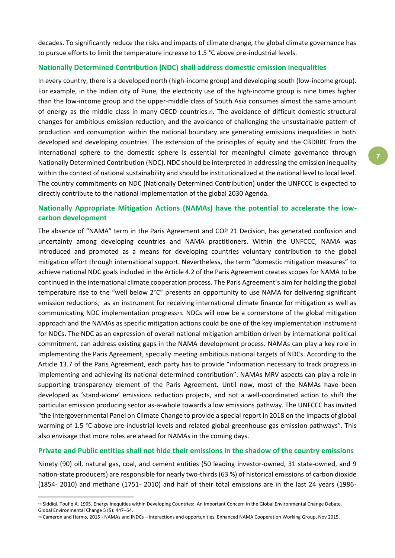decades. To significantly reduce the risks and impacts of climate change, the global climate governance has to pursue efforts to limit the temperature increase to 1.5 °C above pre-industrial levels.

#### **Nationally Determined Contribution (NDC) shall address domestic emission inequalities**

In every country, there is a developed north (high-income group) and developing south (low-income group). For example, in the Indian city of Pune, the electricity use of the high-income group is nine times higher than the low-income group and the upper-middle class of South Asia consumes almost the same amount of energy as the middle class in many OECD countries19. The avoidance of difficult domestic structural changes for ambitious emission reduction, and the avoidance of challenging the unsustainable pattern of production and consumption within the national boundary are generating emissions inequalities in both developed and developing countries. The extension of the principles of equity and the CBDRRC from the international sphere to the domestic sphere is essential for meaningful climate governance through Nationally Determined Contribution (NDC). NDC should be interpreted in addressing the emission inequality within the context of national sustainability and should be institutionalized at the national level to local level. The country commitments on NDC (Nationally Determined Contribution) under the UNFCCC is expected to directly contribute to the national implementation of the global 2030 Agenda.

# **Nationally Appropriate Mitigation Actions (NAMAs) have the potential to accelerate the lowcarbon development**

The absence of "NAMA" term in the Paris Agreement and COP 21 Decision, has generated confusion and uncertainty among developing countries and NAMA practitioners. Within the UNFCCC, NAMA was introduced and promoted as a means for developing countries voluntary contribution to the global mitigation effort through international support. Nevertheless, the term "domestic mitigation measures" to achieve national NDC goals included in the Article 4.2 of the Paris Agreement creates scopes for NAMA to be continued in the international climate cooperation process. The Paris Agreement's aim for holding the global temperature rise to the "well below 2°C" presents an opportunity to use NAMA for delivering significant emission reductions; as an instrument for receiving international climate finance for mitigation as well as communicating NDC implementation progress20. NDCs will now be a cornerstone of the global mitigation approach and the NAMAs as specific mitigation actions could be one of the key implementation instrument for NDCs. The NDC as an expression of overall national mitigation ambition driven by international political commitment, can address existing gaps in the NAMA development process. NAMAs can play a key role in implementing the Paris Agreement, specially meeting ambitious national targets of NDCs. According to the Article 13.7 of the Paris Agreement, each party has to provide "information necessary to track progress in implementing and achieving its national determined contribution". NAMAs MRV aspects can play a role in supporting transparency element of the Paris Agreement. Until now, most of the NAMAs have been developed as 'stand-alone' emissions reduction projects, and not a well-coordinated action to shift the particular emission producing sector as-a-whole towards a low emissions pathway. The UNFCCC has invited "the Intergovernmental Panel on Climate Change to provide a special report in 2018 on the impacts of global warming of 1.5 °C above pre-industrial levels and related global greenhouse gas emission pathways". This also envisage that more roles are ahead for NAMAs in the coming days.

## **Private and Public entities shall not hide their emissions in the shadow of the country emissions**

Ninety (90) oil, natural gas, coal, and cement entities (50 leading investor-owned, 31 state-owned, and 9 nation-state producers) are responsible for nearly two-thirds (63 %) of historical emissions of carbon dioxide (1854- 2010) and methane (1751- 2010) and half of their total emissions are in the last 24 years (1986-

1

<sup>19</sup> Siddiqi, Toufiq A. 1995. Energy Inequities within Developing Countries: An Important Concern in the Global Environmental Change Debate. Global Environmental Change 5 (5): 447–54.

<sup>20</sup> Cameron and Harms, 2015 - NAMAs and INDCs – interactions and opportunities, Enhanced NAMA Cooperation Working Group, Nov 2015.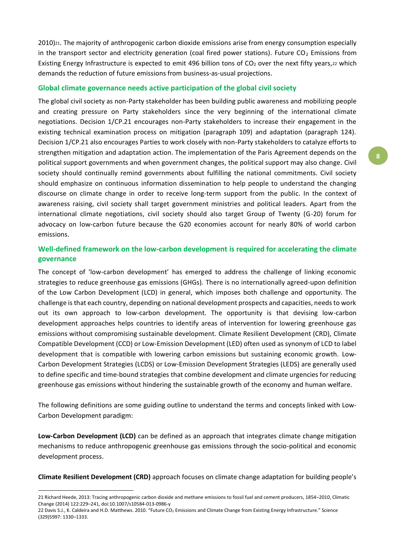2010)21. The majority of anthropogenic carbon dioxide emissions arise from energy consumption especially in the transport sector and electricity generation (coal fired power stations). Future  $CO<sub>2</sub>$  Emissions from Existing Energy Infrastructure is expected to emit 496 billion tons of  $CO<sub>2</sub>$  over the next fifty years, $22$  which demands the reduction of future emissions from business-as-usual projections.

#### **Global climate governance needs active participation of the global civil society**

The global civil society as non-Party stakeholder has been building public awareness and mobilizing people and creating pressure on Party stakeholders since the very beginning of the international climate negotiations. Decision 1/CP.21 encourages non-Party stakeholders to increase their engagement in the existing technical examination process on mitigation (paragraph 109) and adaptation (paragraph 124). Decision 1/CP.21 also encourages Parties to work closely with non-Party stakeholders to catalyze efforts to strengthen mitigation and adaptation action. The implementation of the Paris Agreement depends on the political support governments and when government changes, the political support may also change. Civil society should continually remind governments about fulfilling the national commitments. Civil society should emphasize on continuous information dissemination to help people to understand the changing discourse on climate change in order to receive long-term support from the public. In the context of awareness raising, civil society shall target government ministries and political leaders. Apart from the international climate negotiations, civil society should also target Group of Twenty (G-20) forum for advocacy on low-carbon future because the G20 economies account for nearly 80% of world carbon emissions.

# **Well-defined framework on the low-carbon development is required for accelerating the climate governance**

The concept of 'low-carbon development' has emerged to address the challenge of linking economic strategies to reduce greenhouse gas emissions (GHGs). There is no internationally agreed-upon definition of the Low Carbon Development (LCD) in general, which imposes both challenge and opportunity. The challenge is that each country, depending on national development prospects and capacities, needs to work out its own approach to low-carbon development. The opportunity is that devising low-carbon development approaches helps countries to identify areas of intervention for lowering greenhouse gas emissions without compromising sustainable development. Climate Resilient Development (CRD), Climate Compatible Development (CCD) or Low-Emission Development (LED) often used as synonym of LCD to label development that is compatible with lowering carbon emissions but sustaining economic growth. Low-Carbon Development Strategies (LCDS) or Low-Emission Development Strategies (LEDS) are generally used to define specific and time-bound strategies that combine development and climate urgencies for reducing greenhouse gas emissions without hindering the sustainable growth of the economy and human welfare.

The following definitions are some guiding outline to understand the terms and concepts linked with Low-Carbon Development paradigm:

**Low-Carbon Development (LCD)** can be defined as an approach that integrates climate change mitigation mechanisms to reduce anthropogenic greenhouse gas emissions through the socio-political and economic development process.

**Climate Resilient Development (CRD)** approach focuses on climate change adaptation for building people's

 $\overline{a}$ 

<sup>21</sup> Richard Heede, 2013: Tracing anthropogenic carbon dioxide and methane emissions to fossil fuel and cement producers, 1854–2010, Climatic Change (2014) 122:229–241, doi:10.1007/s10584-013-0986-y

<sup>22</sup> Davis S.J., K. Caldeira and H.D. Matthews. 2010. "Future CO<sub>2</sub> Emissions and Climate Change from Existing Energy Infrastructure." Science (329)5997: 1330–1333.